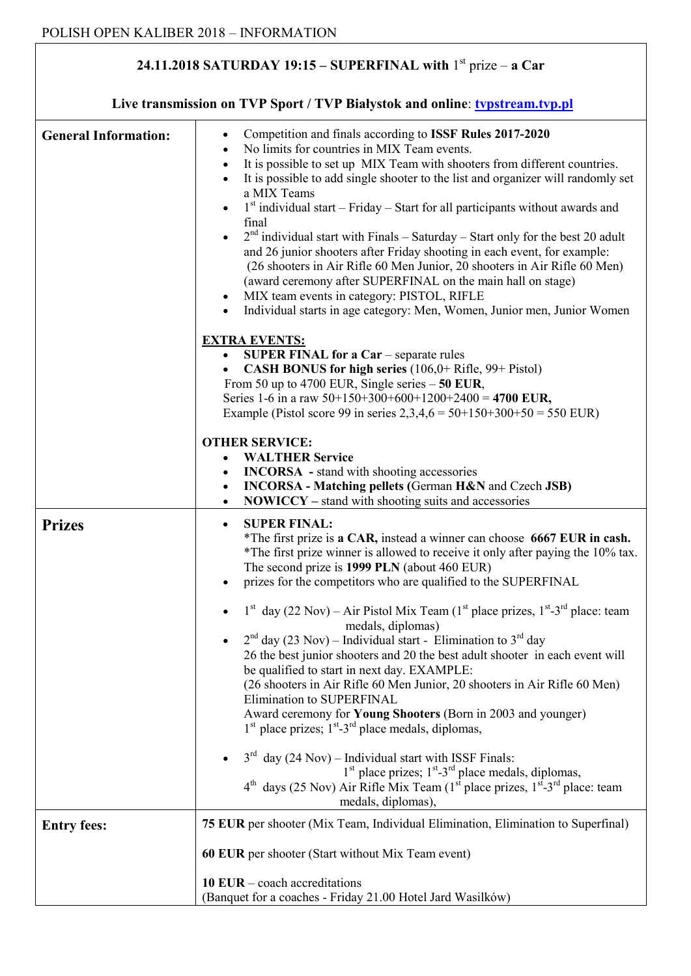## **24.11.2018 SATURDAY 19:15 – SUPERFINAL with** 1 st prize – **a Car**

| Live transmission on TVP Sport / TVP Białystok and online: typstream.tvp.pl |                                                                                                                                                                                                                                                                                                                                                                                                                                                                                                                                                                                                                                                                                                                                                                                                                                                                                                                                                                                                                                                                                                                                                  |
|-----------------------------------------------------------------------------|--------------------------------------------------------------------------------------------------------------------------------------------------------------------------------------------------------------------------------------------------------------------------------------------------------------------------------------------------------------------------------------------------------------------------------------------------------------------------------------------------------------------------------------------------------------------------------------------------------------------------------------------------------------------------------------------------------------------------------------------------------------------------------------------------------------------------------------------------------------------------------------------------------------------------------------------------------------------------------------------------------------------------------------------------------------------------------------------------------------------------------------------------|
| <b>General Information:</b>                                                 | Competition and finals according to ISSF Rules 2017-2020<br>$\bullet$<br>No limits for countries in MIX Team events.<br>It is possible to set up MIX Team with shooters from different countries.<br>$\bullet$<br>It is possible to add single shooter to the list and organizer will randomly set<br>$\bullet$<br>a MIX Teams<br>$1st$ individual start – Friday – Start for all participants without awards and<br>$\bullet$<br>final<br>$2nd$ individual start with Finals - Saturday - Start only for the best 20 adult<br>$\bullet$<br>and 26 junior shooters after Friday shooting in each event, for example:<br>(26 shooters in Air Rifle 60 Men Junior, 20 shooters in Air Rifle 60 Men)<br>(award ceremony after SUPERFINAL on the main hall on stage)<br>MIX team events in category: PISTOL, RIFLE<br>٠<br>Individual starts in age category: Men, Women, Junior men, Junior Women                                                                                                                                                                                                                                                   |
|                                                                             | <b>EXTRA EVENTS:</b><br>SUPER FINAL for a Car - separate rules<br>$\bullet$<br>CASH BONUS for high series (106,0+ Rifle, 99+ Pistol)<br>$\bullet$<br>From 50 up to 4700 EUR, Single series $-50$ EUR,<br>Series 1-6 in a raw $50+150+300+600+1200+2400 = 4700$ EUR,<br>Example (Pistol score 99 in series 2,3,4,6 = $50+150+300+50 = 550$ EUR)<br><b>OTHER SERVICE:</b><br><b>WALTHER Service</b><br><b>INCORSA</b> - stand with shooting accessories<br>$\bullet$<br><b>INCORSA</b> - Matching pellets (German H&N and Czech JSB)<br>$\bullet$<br><b>NOWICCY</b> – stand with shooting suits and accessories<br>$\bullet$                                                                                                                                                                                                                                                                                                                                                                                                                                                                                                                       |
| <b>Prizes</b>                                                               | <b>SUPER FINAL:</b><br>$\bullet$<br>*The first prize is a CAR, instead a winner can choose 6667 EUR in cash.<br>*The first prize winner is allowed to receive it only after paying the 10% tax.<br>The second prize is 1999 PLN (about 460 EUR)<br>prizes for the competitors who are qualified to the SUPERFINAL<br>$1st$ day (22 Nov) – Air Pistol Mix Team ( $1st$ place prizes, $1st$ -3 <sup>rd</sup> place: team<br>medals, diplomas)<br>$2nd$ day (23 Nov) – Individual start - Elimination to $3rd$ day<br>26 the best junior shooters and 20 the best adult shooter in each event will<br>be qualified to start in next day. EXAMPLE:<br>(26 shooters in Air Rifle 60 Men Junior, 20 shooters in Air Rifle 60 Men)<br>Elimination to SUPERFINAL<br>Award ceremony for Young Shooters (Born in 2003 and younger)<br>$1st$ place prizes; $1st$ -3 <sup>rd</sup> place medals, diplomas,<br>$3^{rd}$ day (24 Nov) – Individual start with ISSF Finals:<br>$1st$ place prizes; $1st - 3rd$ place medals, diplomas,<br>$4th$ days (25 Nov) Air Rifle Mix Team ( $1st$ place prizes, $1st$ -3 <sup>rd</sup> place: team<br>medals, diplomas), |
| <b>Entry fees:</b>                                                          | 75 EUR per shooter (Mix Team, Individual Elimination, Elimination to Superfinal)<br>60 EUR per shooter (Start without Mix Team event)<br>10 EUR $-$ coach accreditations                                                                                                                                                                                                                                                                                                                                                                                                                                                                                                                                                                                                                                                                                                                                                                                                                                                                                                                                                                         |
|                                                                             | (Banquet for a coaches - Friday 21.00 Hotel Jard Wasilków)                                                                                                                                                                                                                                                                                                                                                                                                                                                                                                                                                                                                                                                                                                                                                                                                                                                                                                                                                                                                                                                                                       |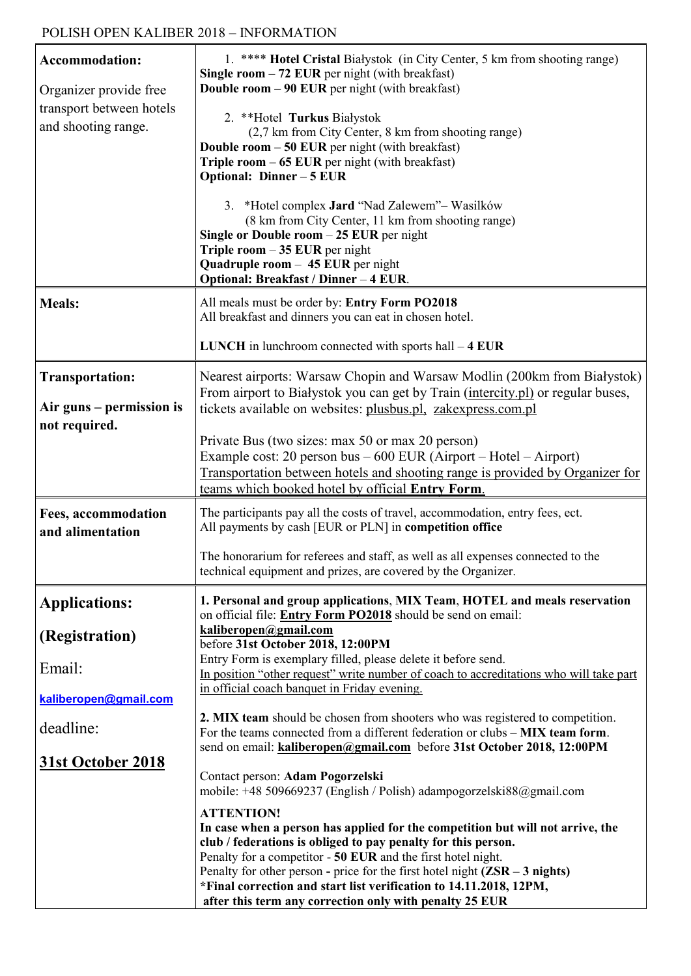| <b>Accommodation:</b><br>Organizer provide free<br>transport between hotels<br>and shooting range. | 1. **** Hotel Cristal Białystok (in City Center, 5 km from shooting range)<br>Single room $-72$ EUR per night (with breakfast)<br><b>Double room <math>-90</math> EUR</b> per night (with breakfast)<br>2. **Hotel Turkus Białystok<br>(2,7 km from City Center, 8 km from shooting range)<br><b>Double room - 50 EUR</b> per night (with breakfast)<br>Triple room $-65$ EUR per night (with breakfast)<br>Optional: Dinner - 5 EUR<br>3. *Hotel complex Jard "Nad Zalewem"- Wasilków<br>(8 km from City Center, 11 km from shooting range)<br>Single or Double room $-25$ EUR per night |
|----------------------------------------------------------------------------------------------------|-------------------------------------------------------------------------------------------------------------------------------------------------------------------------------------------------------------------------------------------------------------------------------------------------------------------------------------------------------------------------------------------------------------------------------------------------------------------------------------------------------------------------------------------------------------------------------------------|
|                                                                                                    | Triple room $-35$ EUR per night<br>Quadruple room $-45$ EUR per night<br>Optional: Breakfast / Dinner - 4 EUR.                                                                                                                                                                                                                                                                                                                                                                                                                                                                            |
| <b>Meals:</b>                                                                                      | All meals must be order by: Entry Form PO2018<br>All breakfast and dinners you can eat in chosen hotel.                                                                                                                                                                                                                                                                                                                                                                                                                                                                                   |
|                                                                                                    | <b>LUNCH</b> in lunchroom connected with sports hall $-4$ <b>EUR</b>                                                                                                                                                                                                                                                                                                                                                                                                                                                                                                                      |
| <b>Transportation:</b><br>Air guns – permission is<br>not required.                                | Nearest airports: Warsaw Chopin and Warsaw Modlin (200km from Białystok)<br>From airport to Białystok you can get by Train (intercity.pl) or regular buses,<br>tickets available on websites: plusbus.pl, zakexpress.com.pl                                                                                                                                                                                                                                                                                                                                                               |
|                                                                                                    | Private Bus (two sizes: max 50 or max 20 person)<br>Example cost: 20 person bus $-600$ EUR (Airport $-$ Hotel $-$ Airport)<br>Transportation between hotels and shooting range is provided by Organizer for<br>teams which booked hotel by official Entry Form.                                                                                                                                                                                                                                                                                                                           |
| <b>Fees, accommodation</b><br>and alimentation                                                     | The participants pay all the costs of travel, accommodation, entry fees, ect.<br>All payments by cash [EUR or PLN] in competition office                                                                                                                                                                                                                                                                                                                                                                                                                                                  |
|                                                                                                    | The honorarium for referees and staff, as well as all expenses connected to the<br>technical equipment and prizes, are covered by the Organizer.                                                                                                                                                                                                                                                                                                                                                                                                                                          |
| <b>Applications:</b>                                                                               | 1. Personal and group applications, MIX Team, HOTEL and meals reservation<br>on official file: Entry Form PO2018 should be send on email:                                                                                                                                                                                                                                                                                                                                                                                                                                                 |
| (Registration)                                                                                     | kaliberopen@gmail.com<br>before 31st October 2018, 12:00PM                                                                                                                                                                                                                                                                                                                                                                                                                                                                                                                                |
| Email:                                                                                             | Entry Form is exemplary filled, please delete it before send.<br>In position "other request" write number of coach to accreditations who will take part<br>in official coach banquet in Friday evening.                                                                                                                                                                                                                                                                                                                                                                                   |
| kaliberopen@gmail.com                                                                              |                                                                                                                                                                                                                                                                                                                                                                                                                                                                                                                                                                                           |
| deadline:                                                                                          | 2. MIX team should be chosen from shooters who was registered to competition.<br>For the teams connected from a different federation or clubs - MIX team form.<br>send on email: kaliberopen@gmail.com before 31st October 2018, 12:00PM                                                                                                                                                                                                                                                                                                                                                  |
| <b>31st October 2018</b>                                                                           | Contact person: Adam Pogorzelski<br>mobile: +48 509669237 (English / Polish) adampogorzelski88@gmail.com                                                                                                                                                                                                                                                                                                                                                                                                                                                                                  |
|                                                                                                    | <b>ATTENTION!</b><br>In case when a person has applied for the competition but will not arrive, the<br>club / federations is obliged to pay penalty for this person.<br>Penalty for a competitor - 50 EUR and the first hotel night.<br>Penalty for other person - price for the first hotel night $(ZSR - 3$ nights)<br>*Final correction and start list verification to 14.11.2018, 12PM,<br>after this term any correction only with penalty 25 EUR                                                                                                                                    |